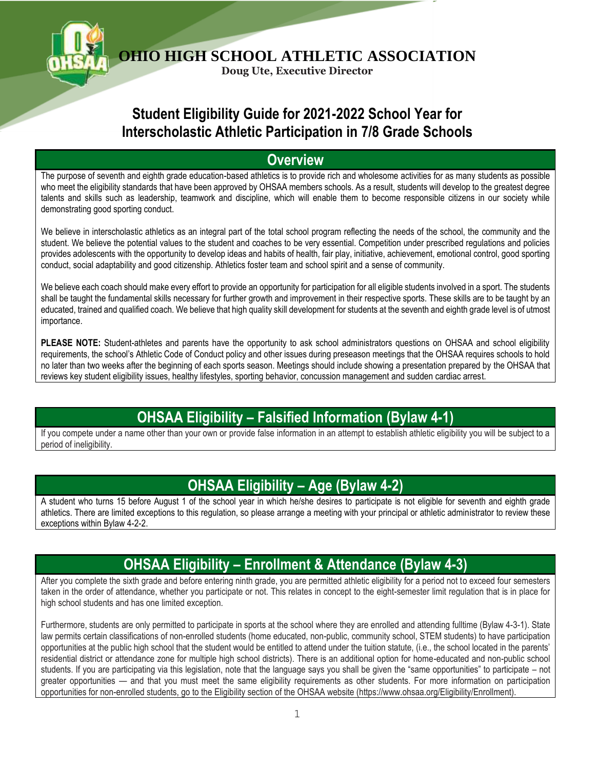

**Doug Ute, Executive Director**

### **Student Eligibility Guide for 2021-2022 School Year for Interscholastic Athletic Participation in 7/8 Grade Schools**

#### **Overview**

The purpose of seventh and eighth grade education-based athletics is to provide rich and wholesome activities for as many students as possible who meet the eligibility standards that have been approved by OHSAA members schools. As a result, students will develop to the greatest degree talents and skills such as leadership, teamwork and discipline, which will enable them to become responsible citizens in our society while demonstrating good sporting conduct.

We believe in interscholastic athletics as an integral part of the total school program reflecting the needs of the school, the community and the student. We believe the potential values to the student and coaches to be very essential. Competition under prescribed regulations and policies provides adolescents with the opportunity to develop ideas and habits of health, fair play, initiative, achievement, emotional control, good sporting conduct, social adaptability and good citizenship. Athletics foster team and school spirit and a sense of community.

We believe each coach should make every effort to provide an opportunity for participation for all eligible students involved in a sport. The students shall be taught the fundamental skills necessary for further growth and improvement in their respective sports. These skills are to be taught by an educated, trained and qualified coach. We believe that high quality skill development for students at the seventh and eighth grade level is of utmost importance.

**PLEASE NOTE:** Student-athletes and parents have the opportunity to ask school administrators questions on OHSAA and school eligibility requirements, the school's Athletic Code of Conduct policy and other issues during preseason meetings that the OHSAA requires schools to hold no later than two weeks after the beginning of each sports season. Meetings should include showing a presentation prepared by the OHSAA that reviews key student eligibility issues, healthy lifestyles, sporting behavior, concussion management and sudden cardiac arrest.

# **OHSAA Eligibility – Falsified Information (Bylaw 4-1)**

If you compete under a name other than your own or provide false information in an attempt to establish athletic eligibility you will be subject to a period of ineligibility.

#### **OHSAA Eligibility – Age (Bylaw 4-2)**

A student who turns 15 before August 1 of the school year in which he/she desires to participate is not eligible for seventh and eighth grade athletics. There are limited exceptions to this regulation, so please arrange a meeting with your principal or athletic administrator to review these exceptions within Bylaw 4-2-2.

#### **OHSAA Eligibility – Enrollment & Attendance (Bylaw 4-3)**

After you complete the sixth grade and before entering ninth grade, you are permitted athletic eligibility for a period not to exceed four semesters taken in the order of attendance, whether you participate or not. This relates in concept to the eight-semester limit regulation that is in place for high school students and has one limited exception.

Furthermore, students are only permitted to participate in sports at the school where they are enrolled and attending fulltime (Bylaw 4-3-1). State law permits certain classifications of non-enrolled students (home educated, non-public, community school, STEM students) to have participation opportunities at the public high school that the student would be entitled to attend under the tuition statute, (i.e., the school located in the parents' residential district or attendance zone for multiple high school districts). There is an additional option for home-educated and non-public school students. If you are participating via this legislation, note that the language says you shall be given the "same opportunities" to participate – not greater opportunities — and that you must meet the same eligibility requirements as other students. For more information on participation opportunities for non-enrolled students, go to the Eligibility section of the OHSAA website (https://www.ohsaa.org/Eligibility/Enrollment).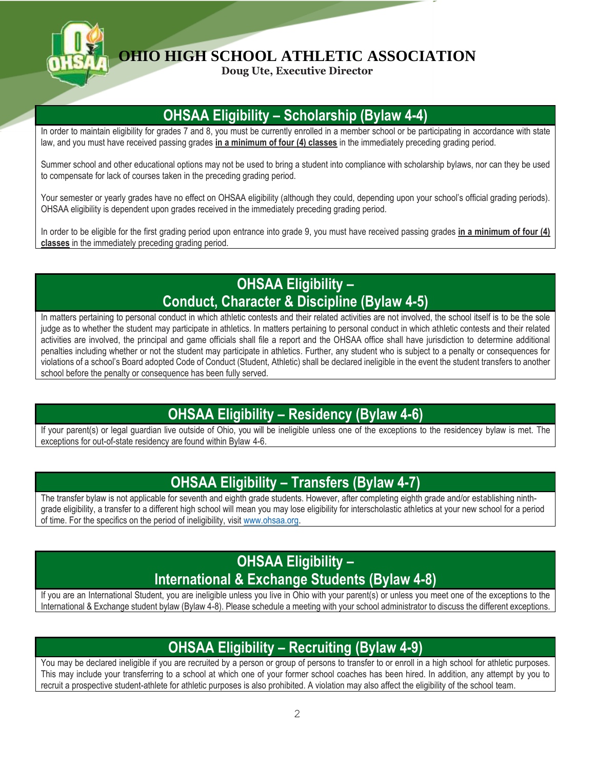

**Doug Ute, Executive Director**

# **OHSAA Eligibility – Scholarship (Bylaw 4-4)**

In order to maintain eligibility for grades 7 and 8, you must be currently enrolled in a member school or be participating in accordance with state law, and you must have received passing grades **in a minimum of four (4) classes** in the immediately preceding grading period.

Summer school and other educational options may not be used to bring a student into compliance with scholarship bylaws, nor can they be used to compensate for lack of courses taken in the preceding grading period.

Your semester or yearly grades have no effect on OHSAA eligibility (although they could, depending upon your school's official grading periods). OHSAA eligibility is dependent upon grades received in the immediately preceding grading period.

In order to be eligible for the first grading period upon entrance into grade 9, you must have received passing grades **in a minimum of four (4) classes** in the immediately preceding grading period.

# **OHSAA Eligibility – Conduct, Character & Discipline (Bylaw 4-5)**

In matters pertaining to personal conduct in which athletic contests and their related activities are not involved, the school itself is to be the sole judge as to whether the student may participate in athletics. In matters pertaining to personal conduct in which athletic contests and their related activities are involved, the principal and game officials shall file a report and the OHSAA office shall have jurisdiction to determine additional penalties including whether or not the student may participate in athletics. Further, any student who is subject to a penalty or consequences for violations of a school's Board adopted Code of Conduct (Student, Athletic) shall be declared ineligible in the event the student transfers to another school before the penalty or consequence has been fully served.

#### **OHSAA Eligibility – Residency (Bylaw 4-6)**

If your parent(s) or legal guardian live outside of Ohio, you will be ineligible unless one of the exceptions to the residencey bylaw is met. The exceptions for out-of-state residency are found within Bylaw 4-6.

### **OHSAA Eligibility – Transfers (Bylaw 4-7)**

The transfer bylaw is not applicable for seventh and eighth grade students. However, after completing eighth grade and/or establishing ninthgrade eligibility, a transfer to a different high school will mean you may lose eligibility for interscholastic athletics at your new school for a period of time. For the specifics on the period of ineligibility, visit [www.ohsaa.org.](http://www.ohsaa.org/) 

## **OHSAA Eligibility – International & Exchange Students (Bylaw 4-8)**

If you are an International Student, you are ineligible unless you live in Ohio with your parent(s) or unless you meet one of the exceptions to the International & Exchange student bylaw (Bylaw 4-8). Please schedule a meeting with your school administrator to discuss the different exceptions.

#### **OHSAA Eligibility – Recruiting (Bylaw 4-9)**

You may be declared ineligible if you are recruited by a person or group of persons to transfer to or enroll in a high school for athletic purposes. This may include your transferring to a school at which one of your former school coaches has been hired. In addition, any attempt by you to recruit a prospective student-athlete for athletic purposes is also prohibited. A violation may also affect the eligibility of the school team.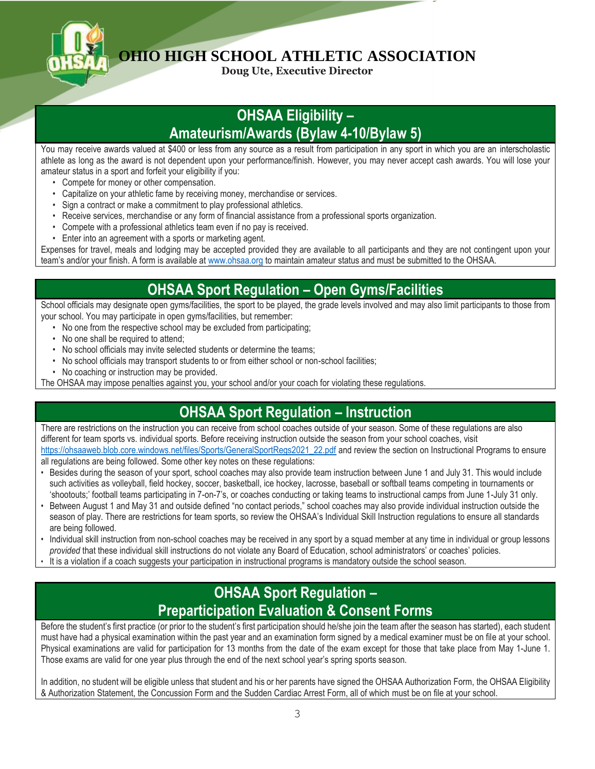

**Doug Ute, Executive Director**

#### **OHSAA Eligibility – Amateurism/Awards (Bylaw 4-10/Bylaw 5)**

You may receive awards valued at \$400 or less from any source as a result from participation in any sport in which you are an interscholastic athlete as long as the award is not dependent upon your performance/finish. However, you may never accept cash awards. You will lose your amateur status in a sport and forfeit your eligibility if you:

- Compete for money or other compensation.
- Capitalize on your athletic fame by receiving money, merchandise or services.
- Sign a contract or make a commitment to play professional athletics.
- Receive services, merchandise or any form of financial assistance from a professional sports organization.
- Compete with a professional athletics team even if no pay is received.
- Enter into an agreement with a sports or marketing agent.

Expenses for travel, meals and lodging may be accepted provided they are available to all participants and they are not contingent upon your team's and/or your finish. A form is available at [www.ohsaa.org](http://www.ohsaa.org/) to maintain amateur status and must be submitted to the OHSAA.

#### **OHSAA Sport Regulation – Open Gyms/Facilities**

School officials may designate open gyms/facilities, the sport to be played, the grade levels involved and may also limit participants to those from your school. You may participate in open gyms/facilities, but remember:

- No one from the respective school may be excluded from participating;
- No one shall be required to attend;
- No school officials may invite selected students or determine the teams;
- No school officials may transport students to or from either school or non-school facilities;
- No coaching or instruction may be provided.

The OHSAA may impose penalties against you, your school and/or your coach for violating these regulations.

#### **OHSAA Sport Regulation – Instruction**

There are restrictions on the instruction you can receive from school coaches outside of your season. Some of these regulations are also different for team sports vs. individual sports. Before receiving instruction outside the season from your school coaches, visit [https://ohsaaweb.blob.core.windows.net/files/Sports/GeneralSportRegs2021\\_22.pdf](https://ohsaaweb.blob.core.windows.net/files/Sports/GeneralSportRegs2021_22.pdf) and review the section on Instructional Programs to ensure

all regulations are being followed. Some other key notes on these regulations:

- Besides during the season of your sport, school coaches may also provide team instruction between June 1 and July 31. This would include such activities as volleyball, field hockey, soccer, basketball, ice hockey, lacrosse, baseball or softball teams competing in tournaments or 'shootouts;' football teams participating in 7-on-7's, or coaches conducting or taking teams to instructional camps from June 1-July 31 only.
- Between August 1 and May 31 and outside defined "no contact periods," school coaches may also provide individual instruction outside the season of play. There are restrictions for team sports, so review the OHSAA's Individual Skill Instruction regulations to ensure all standards are being followed.
- Individual skill instruction from non-school coaches may be received in any sport by a squad member at any time in individual or group lessons *provided* that these individual skill instructions do not violate any Board of Education, school administrators' or coaches' policies.
- It is a violation if a coach suggests your participation in instructional programs is mandatory outside the school season.

#### **OHSAA Sport Regulation – Preparticipation Evaluation & Consent Forms**

Before the student's first practice (or prior to the student's first participation should he/she join the team after the season has started), each student must have had a physical examination within the past year and an examination form signed by a medical examiner must be on file at your school. Physical examinations are valid for participation for 13 months from the date of the exam except for those that take place from May 1-June 1. Those exams are valid for one year plus through the end of the next school year's spring sports season.

In addition, no student will be eligible unless that student and his or her parents have signed the OHSAA Authorization Form, the OHSAA Eligibility & Authorization Statement, the Concussion Form and the Sudden Cardiac Arrest Form, all of which must be on file at your school.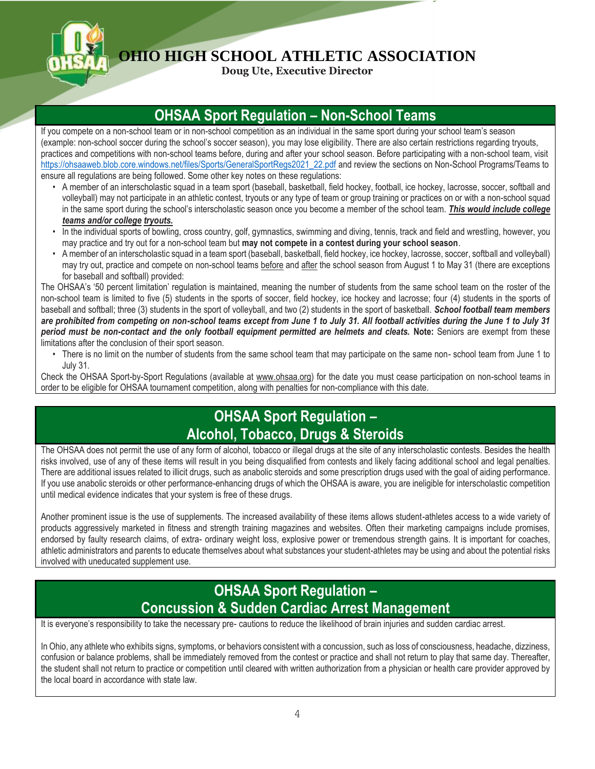

**Doug Ute, Executive Director**

#### **OHSAA Sport Regulation – Non-School Teams**

If you compete on a non-school team or in non-school competition as an individual in the same sport during your school team's season (example: non-school soccer during the school's soccer season), you may lose eligibility. There are also certain restrictions regarding tryouts, practices and competitions with non-school teams before, during and after your school season. Before participating with a non-school team, visit [https://ohsaaweb.blob.core.windows.net/files/Sports/GeneralSportRegs2021\\_22.pdf](https://ohsaaweb.blob.core.windows.net/files/Sports/GeneralSportRegs2021_22.pdf) and review the sections on Non-School Programs/Teams to ensure all regulations are being followed. Some other key notes on these regulations:

- A member of an interscholastic squad in a team sport (baseball, basketball, field hockey, football, ice hockey, lacrosse, soccer, softball and volleyball) may not participate in an athletic contest, tryouts or any type of team or group training or practices on or with a non-school squad in the same sport during the school's interscholastic season once you become a member of the school team. *This would include college teams and/or college tryouts.*
- In the individual sports of bowling, cross country, golf, gymnastics, swimming and diving, tennis, track and field and wrestling, however, you may practice and try out for a non-school team but **may not compete in a contest during your school season**.
- A member of an interscholastic squad in a team sport (baseball, basketball, field hockey, ice hockey, lacrosse, soccer, softball and volleyball) may try out, practice and compete on non-school teams before and after the school season from August 1 to May 31 (there are exceptions for baseball and softball) provided:

The OHSAA's '50 percent limitation' regulation is maintained, meaning the number of students from the same school team on the roster of the non-school team is limited to five (5) students in the sports of soccer, field hockey, ice hockey and lacrosse; four (4) students in the sports of baseball and softball; three (3) students in the sport of volleyball, and two (2) students in the sport of basketball. *School football team members are prohibited from competing on non-school teams except from June 1 to July 31. All football activities during the June 1 to July 31 period must be non-contact and the only football equipment permitted are helmets and cleats.* **Note:** Seniors are exempt from these limitations after the conclusion of their sport season.

• There is no limit on the number of students from the same school team that may participate on the same non- school team from June 1 to July 31.

Check the OHSAA Sport-by-Sport Regulations (available at www.ohsaa.org) for the date you must cease participation on non-school teams in order to be eligible for OHSAA tournament competition, along with penalties for non-compliance with this date.

#### **OHSAA Sport Regulation – Alcohol, Tobacco, Drugs & Steroids**

The OHSAA does not permit the use of any form of alcohol, tobacco or illegal drugs at the site of any interscholastic contests. Besides the health risks involved, use of any of these items will result in you being disqualified from contests and likely facing additional school and legal penalties. There are additional issues related to illicit drugs, such as anabolic steroids and some prescription drugs used with the goal of aiding performance. If you use anabolic steroids or other performance-enhancing drugs of which the OHSAA is aware, you are ineligible for interscholastic competition until medical evidence indicates that your system is free of these drugs.

Another prominent issue is the use of supplements. The increased availability of these items allows student-athletes access to a wide variety of products aggressively marketed in fitness and strength training magazines and websites. Often their marketing campaigns include promises, endorsed by faulty research claims, of extra- ordinary weight loss, explosive power or tremendous strength gains. It is important for coaches, athletic administrators and parents to educate themselves about what substances your student-athletes may be using and about the potential risks involved with uneducated supplement use.

## **OHSAA Sport Regulation – Concussion & Sudden Cardiac Arrest Management**

It is everyone's responsibility to take the necessary pre- cautions to reduce the likelihood of brain injuries and sudden cardiac arrest.

In Ohio, any athlete who exhibits signs, symptoms, or behaviors consistent with a concussion, such as loss of consciousness, headache, dizziness, confusion or balance problems, shall be immediately removed from the contest or practice and shall not return to play that same day. Thereafter, the student shall not return to practice or competition until cleared with written authorization from a physician or health care provider approved by the local board in accordance with state law.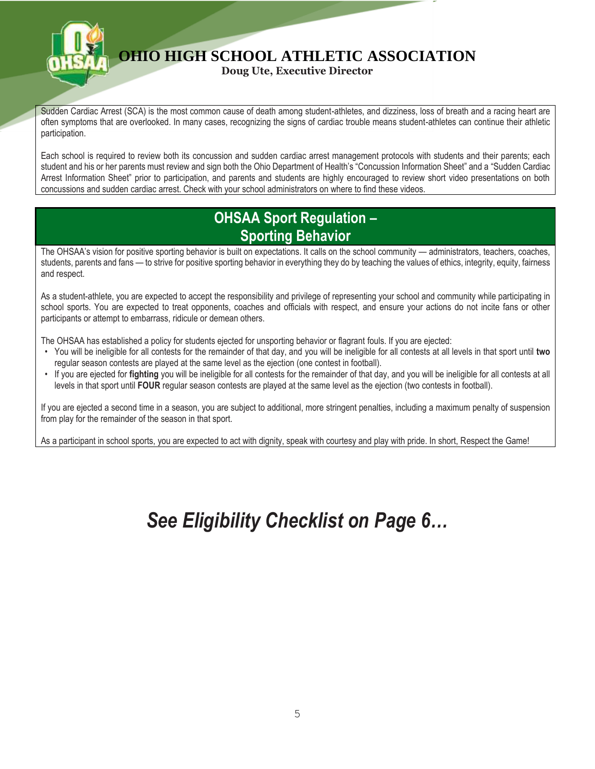

**Doug Ute, Executive Director**

Sudden Cardiac Arrest (SCA) is the most common cause of death among student-athletes, and dizziness, loss of breath and a racing heart are often symptoms that are overlooked. In many cases, recognizing the signs of cardiac trouble means student-athletes can continue their athletic participation.

Each school is required to review both its concussion and sudden cardiac arrest management protocols with students and their parents; each student and his or her parents must review and sign both the Ohio Department of Health's "Concussion Information Sheet" and a "Sudden Cardiac Arrest Information Sheet" prior to participation, and parents and students are highly encouraged to review short video presentations on both concussions and sudden cardiac arrest. Check with your school administrators on where to find these videos.

#### **OHSAA Sport Regulation – Sporting Behavior**

The OHSAA's vision for positive sporting behavior is built on expectations. It calls on the school community — administrators, teachers, coaches, students, parents and fans — to strive for positive sporting behavior in everything they do by teaching the values of ethics, integrity, equity, fairness and respect.

As a student-athlete, you are expected to accept the responsibility and privilege of representing your school and community while participating in school sports. You are expected to treat opponents, coaches and officials with respect, and ensure your actions do not incite fans or other participants or attempt to embarrass, ridicule or demean others.

The OHSAA has established a policy for students ejected for unsporting behavior or flagrant fouls. If you are ejected:

- You will be ineligible for all contests for the remainder of that day, and you will be ineligible for all contests at all levels in that sport until **two** regular season contests are played at the same level as the ejection (one contest in football).
- If you are ejected for **fighting** you will be ineligible for all contests for the remainder of that day, and you will be ineligible for all contests at all levels in that sport until **FOUR** regular season contests are played at the same level as the ejection (two contests in football).

If you are ejected a second time in a season, you are subject to additional, more stringent penalties, including a maximum penalty of suspension from play for the remainder of the season in that sport.

As a participant in school sports, you are expected to act with dignity, speak with courtesy and play with pride. In short, Respect the Game!

# *See Eligibility Checklist on Page 6…*